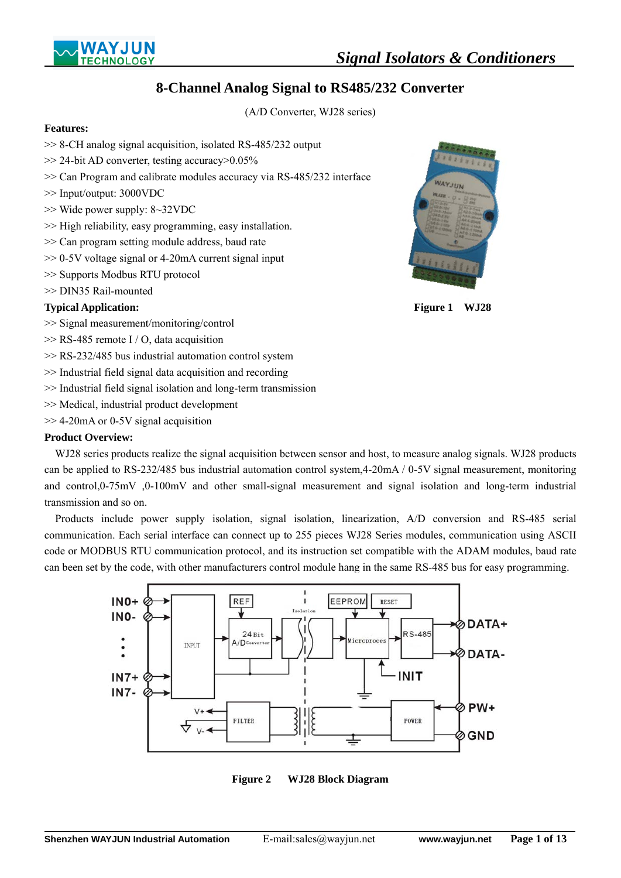



(A/D Converter, WJ28 series)

## **Features:**

- >> 8-CH analog signal acquisition, isolated RS-485/232 output
- >> 24-bit AD converter, testing accuracy>0.05%
- >> Can Program and calibrate modules accuracy via RS-485/232 interface
- >> Input/output: 3000VDC
- >> Wide power supply: 8~32VDC
- >> High reliability, easy programming, easy installation.
- >> Can program setting module address, baud rate
- >> 0-5V voltage signal or 4-20mA current signal input
- >> Supports Modbus RTU protocol
- >> DIN35 Rail-mounted

# **Typical Application:** Figure 1 WJ28

- >> Signal measurement/monitoring/control
- >> RS-485 remote I / O, data acquisition
- >> RS-232/485 bus industrial automation control system
- >> Industrial field signal data acquisition and recording
- >> Industrial field signal isolation and long-term transmission
- >> Medical, industrial product development
- >> 4-20mA or 0-5V signal acquisition

## **Product Overview:**

 $\overline{a}$ 

WJ28 series products realize the signal acquisition between sensor and host, to measure analog signals. WJ28 products can be applied to RS-232/485 bus industrial automation control system,4-20mA / 0-5V signal measurement, monitoring and control,0-75mV ,0-100mV and other small-signal measurement and signal isolation and long-term industrial transmission and so on.

Products include power supply isolation, signal isolation, linearization, A/D conversion and RS-485 serial communication. Each serial interface can connect up to 255 pieces WJ28 Series modules, communication using ASCII code or MODBUS RTU communication protocol, and its instruction set compatible with the ADAM modules, baud rate can been set by the code, with other manufacturers control module hang in the same RS-485 bus for easy programming.



**Figure 2 WJ28 Block Diagram**



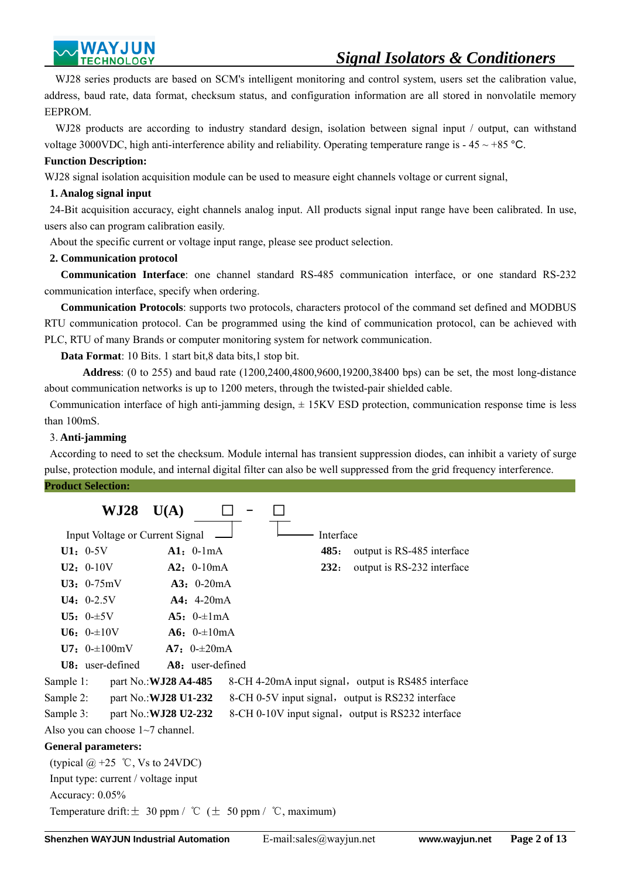WJ28 series products are based on SCM's intelligent monitoring and control system, users set the calibration value, address, baud rate, data format, checksum status, and configuration information are all stored in nonvolatile memory EEPROM.

WJ28 products are according to industry standard design, isolation between signal input / output, can withstand voltage 3000VDC, high anti-interference ability and reliability. Operating temperature range is  $-45 \sim +85$  °C.

#### **Function Description:**

WJ28 signal isolation acquisition module can be used to measure eight channels voltage or current signal,

## **1. Analog signal input**

 24-Bit acquisition accuracy, eight channels analog input. All products signal input range have been calibrated. In use, users also can program calibration easily.

About the specific current or voltage input range, please see product selection.

## **2. Communication protocol**

 **Communication Interface**: one channel standard RS-485 communication interface, or one standard RS-232 communication interface, specify when ordering.

 **Communication Protocols**: supports two protocols, characters protocol of the command set defined and MODBUS RTU communication protocol. Can be programmed using the kind of communication protocol, can be achieved with PLC, RTU of many Brands or computer monitoring system for network communication.

**Data Format**: 10 Bits. 1 start bit,8 data bits,1 stop bit.

 **Address**: (0 to 255) and baud rate (1200,2400,4800,9600,19200,38400 bps) can be set, the most long-distance about communication networks is up to 1200 meters, through the twisted-pair shielded cable.

 Communication interface of high anti-jamming design, ± 15KV ESD protection, communication response time is less than 100mS.

## 3. **Anti-jamming**

 According to need to set the checksum. Module internal has transient suppression diodes, can inhibit a variety of surge pulse, protection module, and internal digital filter can also be well suppressed from the grid frequency interference.

#### **Product Selection:**

|           | WJ28                                                               | U(A)                         |  |           |                                                     |
|-----------|--------------------------------------------------------------------|------------------------------|--|-----------|-----------------------------------------------------|
|           | Input Voltage or Current Signal                                    |                              |  | Interface |                                                     |
|           | $U1: 0-5V$                                                         | $A1: 0-1mA$                  |  | 485:      | output is RS-485 interface                          |
|           | $U2: 0-10V$                                                        | $A2: 0-10mA$                 |  | 232:      | output is RS-232 interface                          |
|           | $U3: 0-75mV$                                                       | $A3: 0-20mA$                 |  |           |                                                     |
|           | $U4: 0-2.5V$                                                       | $A4: 4-20mA$                 |  |           |                                                     |
|           | $U5: 0-15V$                                                        | A5: $0 = \pm 1 \text{ mA}$   |  |           |                                                     |
|           | <b>U6:</b> $0 - \pm 10V$                                           | $A6: 0=10mA$                 |  |           |                                                     |
|           | $U7: 0=100mV$                                                      | A7: $0 - \pm 20$ mA          |  |           |                                                     |
|           | <b>U8:</b> user-defined                                            | <b>A8:</b> user-defined      |  |           |                                                     |
| Sample 1: |                                                                    | part No.: <b>WJ28 A4-485</b> |  |           | 8-CH 4-20mA input signal, output is RS485 interface |
| Sample 2: | part No.: <b>WJ28 U1-232</b>                                       |                              |  |           | 8-CH 0-5V input signal, output is RS232 interface   |
| Sample 3: | part No.: <b>WJ28 U2-232</b>                                       |                              |  |           | 8-CH 0-10V input signal, output is RS232 interface  |
|           | Also you can choose $1~1$ <sup>-7</sup> channel.                   |                              |  |           |                                                     |
|           | <b>General parameters:</b>                                         |                              |  |           |                                                     |
|           | (typical $\omega$ +25 °C, Vs to 24VDC)                             |                              |  |           |                                                     |
|           | Input type: current / voltage input                                |                              |  |           |                                                     |
|           | Accuracy: $0.05\%$                                                 |                              |  |           |                                                     |
|           | Temperature drift: $\pm$ 30 ppm / °C ( $\pm$ 50 ppm / °C, maximum) |                              |  |           |                                                     |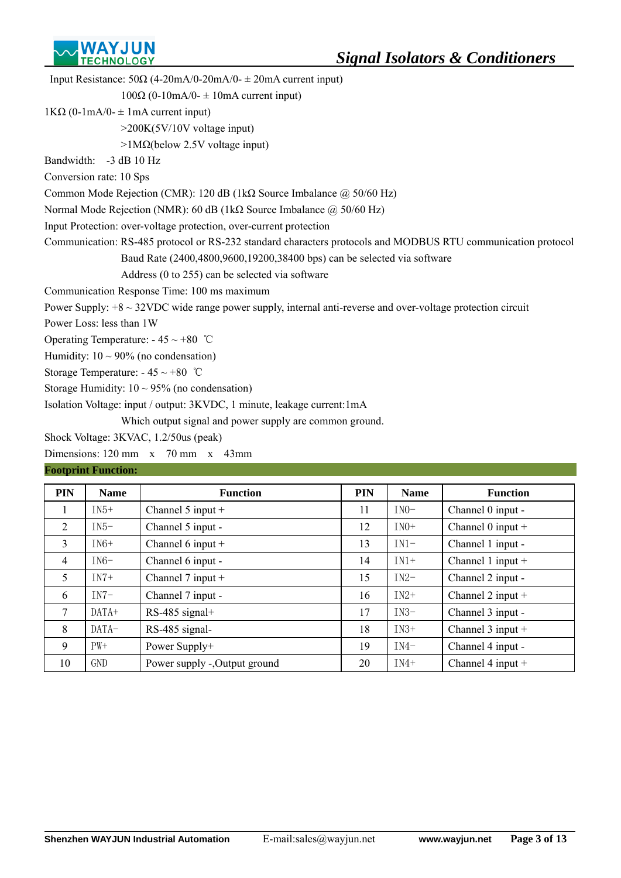

| Input Resistance: $50\Omega$ (4-20mA/0-20mA/0- $\pm$ 20mA current input)                                          |
|-------------------------------------------------------------------------------------------------------------------|
| $100\Omega$ (0-10mA/0- $\pm$ 10mA current input)                                                                  |
| $1K\Omega$ (0-1mA/0- $\pm$ 1mA current input)                                                                     |
| $>200K(5V/10V)$ voltage input)                                                                                    |
| $>1$ M $\Omega$ (below 2.5V voltage input)                                                                        |
| Bandwidth: -3 dB 10 Hz                                                                                            |
| Conversion rate: 10 Sps                                                                                           |
| Common Mode Rejection (CMR): 120 dB (1k $\Omega$ Source Imbalance $\omega$ 50/60 Hz)                              |
| Normal Mode Rejection (NMR): 60 dB (1k $\Omega$ Source Imbalance $\omega$ 50/60 Hz)                               |
| Input Protection: over-voltage protection, over-current protection                                                |
| Communication: RS-485 protocol or RS-232 standard characters protocols and MODBUS RTU communication protocol      |
| Baud Rate (2400,4800,9600,19200,38400 bps) can be selected via software                                           |
| Address (0 to 255) can be selected via software                                                                   |
| Communication Response Time: 100 ms maximum                                                                       |
| Power Supply: $+8 \sim 32$ VDC wide range power supply, internal anti-reverse and over-voltage protection circuit |
| Power Loss: less than 1W                                                                                          |
| Operating Temperature: $-45 \sim +80$ °C                                                                          |
| Humidity: $10 \sim 90\%$ (no condensation)                                                                        |
| Storage Temperature: $-45 \sim +80$ °C                                                                            |
| Storage Humidity: $10 \sim 95\%$ (no condensation)                                                                |
| Isolation Voltage: input / output: 3KVDC, 1 minute, leakage current: 1mA                                          |
| Which output signal and power supply are common ground.                                                           |
| Shock Voltage: 3KVAC, 1.2/50us (peak)                                                                             |

Dimensions: 120 mm x 70 mm x 43mm

# **Footprint Function:**

| <b>PIN</b>      | <b>Name</b> | <b>Function</b>               | <b>PIN</b> | <b>Name</b> | <b>Function</b>     |
|-----------------|-------------|-------------------------------|------------|-------------|---------------------|
| л.              | $IN5+$      | Channel 5 input $+$           | 11         | $IN0-$      | Channel 0 input -   |
| 2               | $IN5-$      | Channel 5 input -             | 12         | $IN0+$      | Channel $0$ input + |
| 3               | $IN6+$      | Channel $6$ input $+$         | 13         | $IN1-$      | Channel 1 input -   |
| $\overline{4}$  | $IN6-$      | Channel 6 input -             | 14         | $IN1+$      | Channel 1 input $+$ |
| 5               | $IN7+$      | Channel $7$ input $+$         | 15         | $IN2-$      | Channel 2 input -   |
| 6               | $IN7-$      | Channel 7 input -             | 16         | $IN2+$      | Channel 2 input $+$ |
| $7\phantom{.0}$ | $DATA+$     | RS-485 signal+                | 17         | $IN3-$      | Channel 3 input -   |
| 8               | DATA-       | RS-485 signal-                | 18         | $IN3+$      | Channel $3$ input + |
| 9               | $PW+$       | Power Supply+                 | 19         | $IN4-$      | Channel 4 input -   |
| 10              | GND         | Power supply -, Output ground | 20         | $IN4+$      | Channel 4 input $+$ |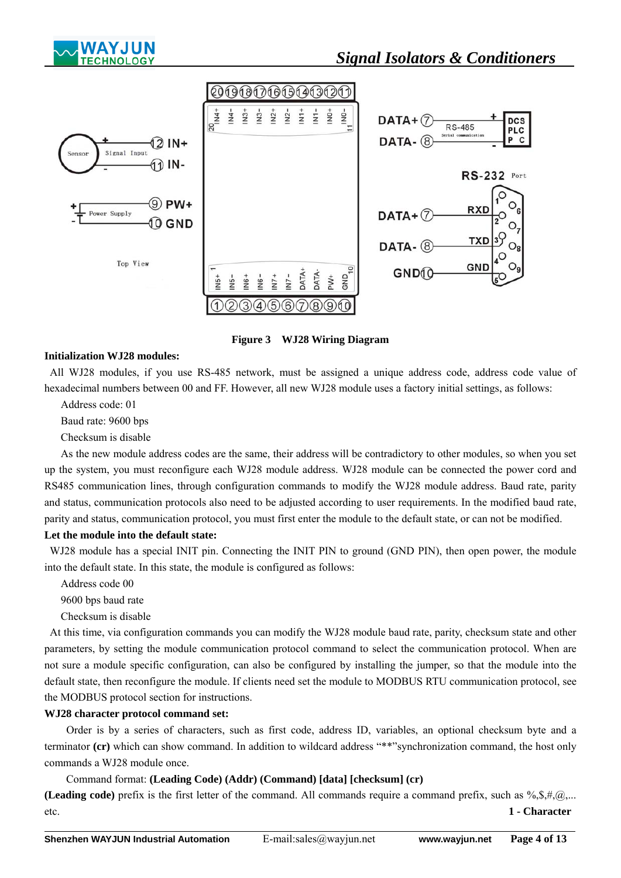



**Figure 3 WJ28 Wiring Diagram**

## **Initialization WJ28 modules:**

 All WJ28 modules, if you use RS-485 network, must be assigned a unique address code, address code value of hexadecimal numbers between 00 and FF. However, all new WJ28 module uses a factory initial settings, as follows:

Address code: 01

Baud rate: 9600 bps

Checksum is disable

 As the new module address codes are the same, their address will be contradictory to other modules, so when you set up the system, you must reconfigure each WJ28 module address. WJ28 module can be connected the power cord and RS485 communication lines, through configuration commands to modify the WJ28 module address. Baud rate, parity and status, communication protocols also need to be adjusted according to user requirements. In the modified baud rate, parity and status, communication protocol, you must first enter the module to the default state, or can not be modified.

## **Let the module into the default state:**

WJ28 module has a special INIT pin. Connecting the INIT PIN to ground (GND PIN), then open power, the module into the default state. In this state, the module is configured as follows:

Address code 00

9600 bps baud rate

Checksum is disable

 At this time, via configuration commands you can modify the WJ28 module baud rate, parity, checksum state and other parameters, by setting the module communication protocol command to select the communication protocol. When are not sure a module specific configuration, can also be configured by installing the jumper, so that the module into the default state, then reconfigure the module. If clients need set the module to MODBUS RTU communication protocol, see the MODBUS protocol section for instructions.

#### **WJ28 character protocol command set:**

 Order is by a series of characters, such as first code, address ID, variables, an optional checksum byte and a terminator **(cr)** which can show command. In addition to wildcard address "\*\*"synchronization command, the host only commands a WJ28 module once.

#### Command format: **(Leading Code) (Addr) (Command) [data] [checksum] (cr)**

**(Leading code)** prefix is the first letter of the command. All commands require a command prefix, such as  $\%$ , \$, #, @,... etc. **1 - Character**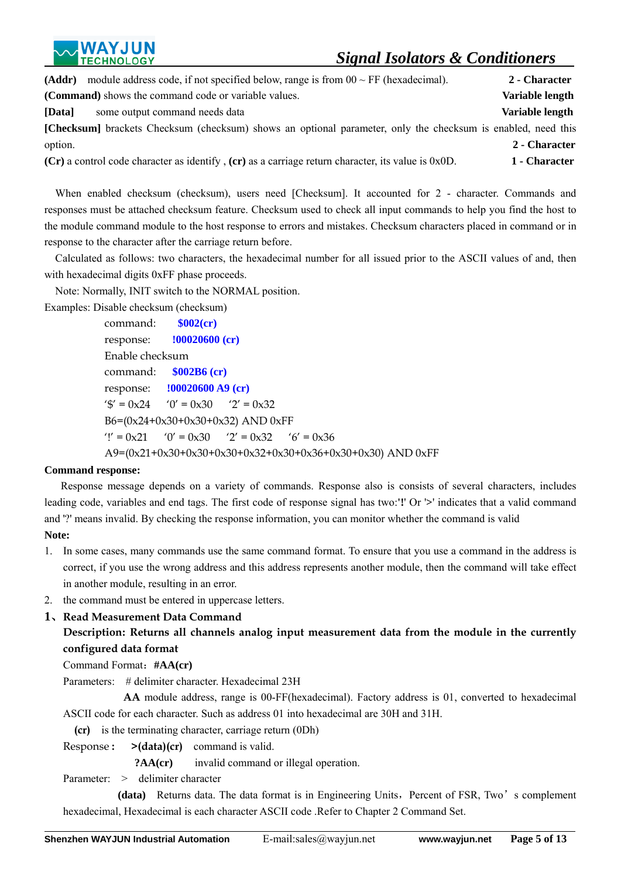| (Addr)                                                        | module address code, if not specified below, range is from $00 \sim FF$ (hexadecimal).                              | 2 - Character   |
|---------------------------------------------------------------|---------------------------------------------------------------------------------------------------------------------|-----------------|
| ( <b>Command</b> ) shows the command code or variable values. |                                                                                                                     | Variable length |
| some output command needs data<br>[Data]                      |                                                                                                                     | Variable length |
|                                                               | <b>[Checksum]</b> brackets Checksum (checksum) shows an optional parameter, only the checksum is enabled, need this |                 |
| option.                                                       |                                                                                                                     | 2 - Character   |
|                                                               | $(Cr)$ a control code character as identify, $(cr)$ as a carriage return character, its value is 0x0D.              | 1 - Character   |

When enabled checksum (checksum), users need [Checksum]. It accounted for 2 - character. Commands and responses must be attached checksum feature. Checksum used to check all input commands to help you find the host to the module command module to the host response to errors and mistakes. Checksum characters placed in command or in response to the character after the carriage return before.

Calculated as follows: two characters, the hexadecimal number for all issued prior to the ASCII values of and, then with hexadecimal digits 0xFF phase proceeds.

Note: Normally, INIT switch to the NORMAL position.

Examples: Disable checksum (checksum) command: **\$002(cr)** response: **!00020600 (cr)** Enable checksum command: **\$002B6 (cr)** response: **!00020600 A9 (cr)** ' $\sqrt[6]{ }$  = 0x24 '0' = 0x30 '2' = 0x32 B6=(0x24+0x30+0x30+0x32) AND 0xFF '!' =  $0x21$  '0' =  $0x30$  '2' =  $0x32$  '6' =  $0x36$ A9=(0x21+0x30+0x30+0x30+0x32+0x30+0x36+0x30+0x30) AND 0xFF

# **Command response:**

 Response message depends on a variety of commands. Response also is consists of several characters, includes leading code, variables and end tags. The first code of response signal has two:**'!**' Or '**>**' indicates that a valid command and '?' means invalid. By checking the response information, you can monitor whether the command is valid **Note:** 

- 1. In some cases, many commands use the same command format. To ensure that you use a command in the address is correct, if you use the wrong address and this address represents another module, then the command will take effect in another module, resulting in an error.
- 2. the command must be entered in uppercase letters.

# **1**、**Read Measurement Data Command**

# **Description: Returns all channels analog input measurement data from the module in the currently configured data format**

Command Format:**#AA(cr)**

Parameters: # delimiter character. Hexadecimal 23H

 **AA** module address, range is 00-FF(hexadecimal). Factory address is 01, converted to hexadecimal ASCII code for each character. Such as address 01 into hexadecimal are 30H and 31H.

**(cr)** is the terminating character, carriage return (0Dh)

Response **: >(data)(cr)** command is valid.

**?AA(cr)** invalid command or illegal operation.

Parameter: > delimiter character

**(data)** Returns data. The data format is in Engineering Units, Percent of FSR, Two's complement hexadecimal, Hexadecimal is each character ASCII code .Refer to Chapter 2 Command Set.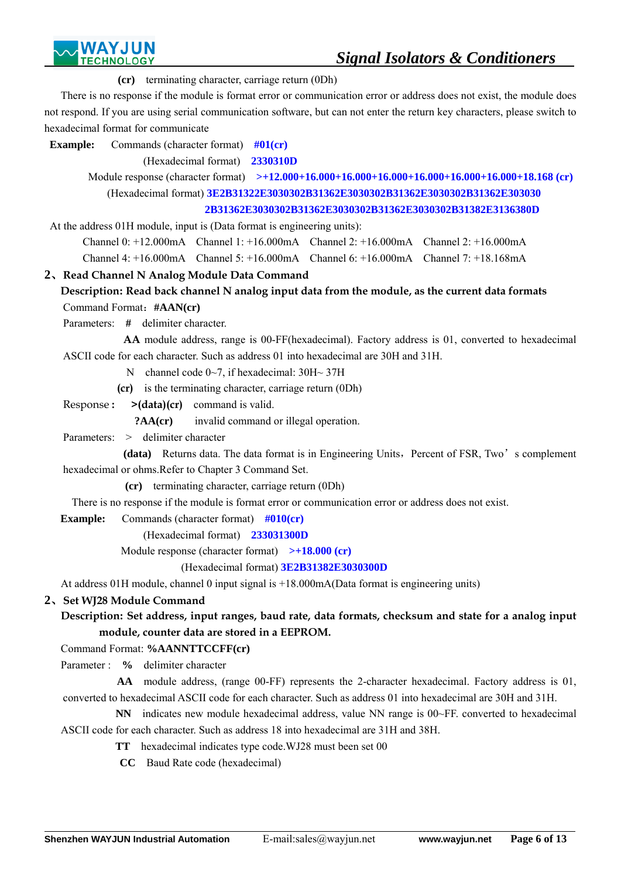**(cr)** terminating character, carriage return (0Dh)

There is no response if the module is format error or communication error or address does not exist, the module does not respond. If you are using serial communication software, but can not enter the return key characters, please switch to hexadecimal format for communicate

*Signal Isolators & Conditioners* 

**Example:** Commands (character format)  $\#01$ (cr)

(Hexadecimal format) **2330310D**

 Module response (character format) **>+12.000+16.000+16.000+16.000+16.000+16.000+16.000+18.168 (cr)**  (Hexadecimal format) **3E2B31322E3030302B31362E3030302B31362E3030302B31362E303030 2B31362E3030302B31362E3030302B31362E3030302B31382E3136380D** 

At the address 01H module, input is (Data format is engineering units):

Channel 0: +12.000mA Channel 1: +16.000mA Channel 2: +16.000mA Channel 2: +16.000mA

Channel 4: +16.000mA Channel 5: +16.000mA Channel 6: +16.000mA Channel 7: +18.168mA

# **2**、**Read Channel N Analog Module Data Command**

# **Description: Read back channel N analog input data from the module, as the current data formats**  Command Format:**#AAN(cr)**

Parameters: **#** delimiter character.

 **AA** module address, range is 00-FF(hexadecimal). Factory address is 01, converted to hexadecimal ASCII code for each character. Such as address 01 into hexadecimal are 30H and 31H.

N channel code 0~7, if hexadecimal: 30H~ 37H

**(cr)** is the terminating character, carriage return (0Dh)

Response **: >(data)(cr)** command is valid.

**?AA(cr)** invalid command or illegal operation.

Parameters: > delimiter character

**(data)** Returns data. The data format is in Engineering Units, Percent of FSR, Two's complement hexadecimal or ohms.Refer to Chapter 3 Command Set.

**(cr)** terminating character, carriage return (0Dh)

There is no response if the module is format error or communication error or address does not exist.

**Example:** Commands (character format)  $\#010$ (cr)

(Hexadecimal format) **233031300D**

Module response (character format) **>+18.000 (cr)** 

(Hexadecimal format) **3E2B31382E3030300D**

At address 01H module, channel 0 input signal is +18.000mA(Data format is engineering units)

# **2**、**Set WJ28 Module Command**

 $\overline{a}$ 

# **Description: Set address, input ranges, baud rate, data formats, checksum and state for a analog input module, counter data are stored in a EEPROM.**

Command Format: **%AANNTTCCFF(cr)**

Parameter : **%** delimiter character

**AA** module address, (range 00-FF) represents the 2-character hexadecimal. Factory address is 01, converted to hexadecimal ASCII code for each character. Such as address 01 into hexadecimal are 30H and 31H.

**NN** indicates new module hexadecimal address, value NN range is 00~FF, converted to hexadecimal ASCII code for each character. Such as address 18 into hexadecimal are 31H and 38H.

- **TT** hexadecimal indicates type code.WJ28 must been set 00
	- **CC** Baud Rate code (hexadecimal)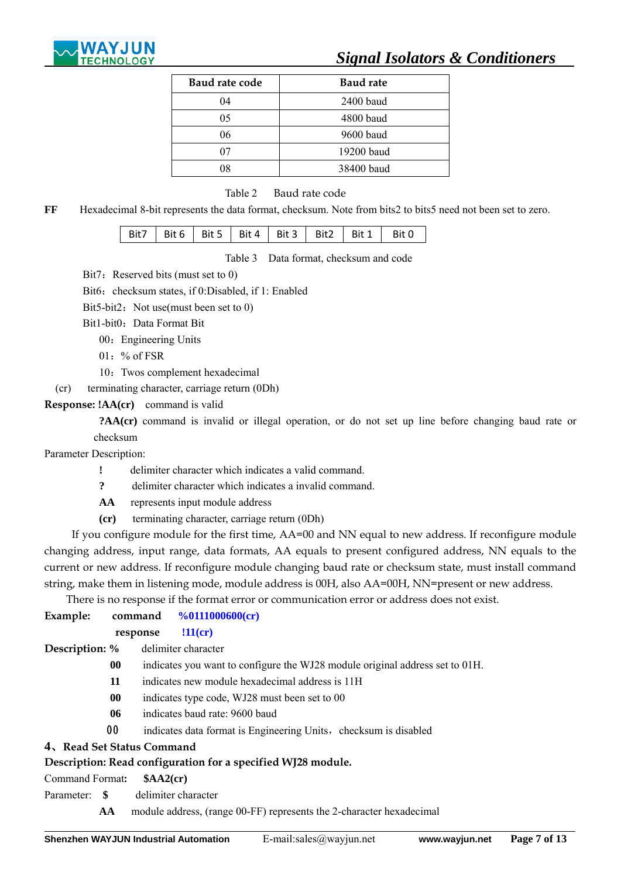

| Baud rate code | <b>Baud rate</b> |
|----------------|------------------|
| 04             | 2400 baud        |
| 05             | 4800 baud        |
| 06             | 9600 baud        |
| 07             | 19200 baud       |
| 08             | 38400 baud       |

Table 2 Baud rate code

**FF** Hexadecimal 8-bit represents the data format, checksum. Note from bits2 to bits5 need not been set to zero.

| Bit7   Bit 6   Bit 5   Bit 4   Bit 3   Bit 2   Bit 1   Bit 0 |  |  |  |
|--------------------------------------------------------------|--|--|--|
|                                                              |  |  |  |

Table 3 Data format, checksum and code

Bit7: Reserved bits (must set to 0)

Bit6: checksum states, if 0:Disabled, if 1: Enabled

Bit5-bit2: Not use(must been set to  $0$ )

Bit1-bit0: Data Format Bit

- 00: Engineering Units
- 01: % of FSR
- 10:Twos complement hexadecimal

(cr) terminating character, carriage return (0Dh)

**Response: !AA(cr)** command is valid

 **?AA(cr)** command is invalid or illegal operation, or do not set up line before changing baud rate or checksum

Parameter Description:

- **!** delimiter character which indicates a valid command.
- **?** delimiter character which indicates a invalid command.
- **AA** represents input module address
- **(cr)** terminating character, carriage return (0Dh)

If you configure module for the first time, AA=00 and NN equal to new address. If reconfigure module changing address, input range, data formats, AA equals to present configured address, NN equals to the current or new address. If reconfigure module changing baud rate or checksum state, must install command string, make them in listening mode, module address is 00H, also AA=00H, NN=present or new address.

There is no response if the format error or communication error or address does not exist.

| Example:                   |           |                    | command $\frac{\%0111000600}{\text{cr}}$                                     |
|----------------------------|-----------|--------------------|------------------------------------------------------------------------------|
|                            | response  |                    | $!11$ (cr)                                                                   |
| Description: %             |           |                    | delimiter character                                                          |
|                            | $\bf{00}$ |                    | indicates you want to configure the WJ28 module original address set to 01H. |
|                            | 11        |                    | indicates new module hexadecimal address is 11H                              |
|                            | 00        |                    | indicates type code, WJ28 must been set to 00                                |
|                            | 06        |                    | indicates baud rate: 9600 baud                                               |
|                            | 00        |                    | indicates data format is Engineering Units, checksum is disabled             |
| 4. Read Set Status Command |           |                    |                                                                              |
|                            |           |                    | Description: Read configuration for a specified WJ28 module.                 |
| Command Format:            |           | \$AA2(c <b>r</b> ) |                                                                              |

Parameter: **\$** delimiter character

 $\overline{a}$ 

**AA** module address, (range 00-FF) represents the 2-character hexadecimal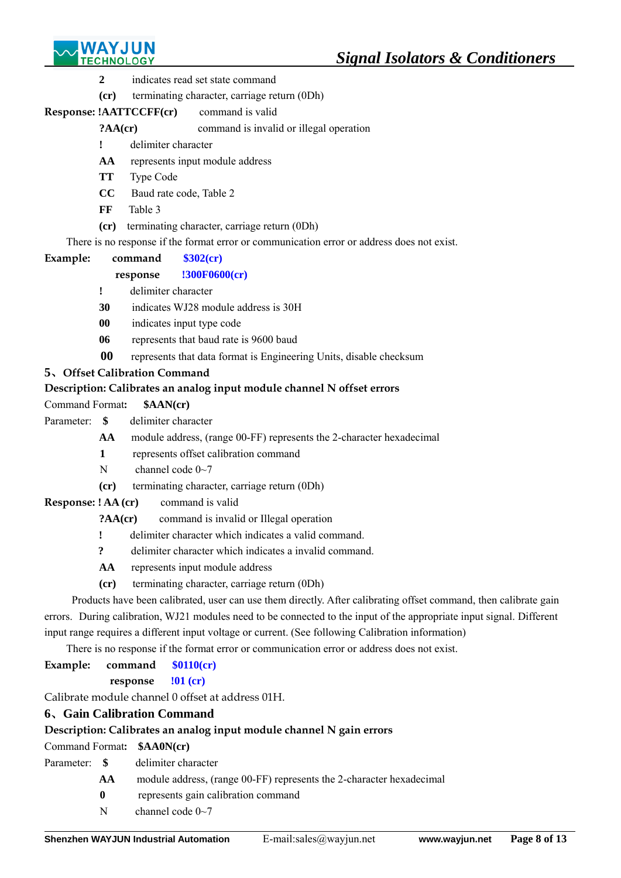

- **2** indicates read set state command
- **(cr)** terminating character, carriage return (0Dh)

# **Response: !AATTCCFF(cr)** command is valid

# **?AA(cr)** command is invalid or illegal operation

- **!** delimiter character
- **AA** represents input module address
- **TT** Type Code
- **CC** Baud rate code, Table 2
- **FF** Table 3
- **(cr)** terminating character, carriage return (0Dh)

There is no response if the format error or communication error or address does not exist.

# **Example: command \$302(cr)**

# **response !300F0600(cr)**

- **!** delimiter character
- **30** indicates WJ28 module address is 30H
- **00** indicates input type code
- **06** represents that baud rate is 9600 baud
- **00** represents that data format is Engineering Units, disable checksum

# **5**、**Offset Calibration Command**

# **Description: Calibrates an analog input module channel N offset errors**

Command Format**: \$AAN(cr)** 

- Parameter: **\$** delimiter character
	- **AA** module address, (range 00-FF) represents the 2-character hexadecimal
	- **1** represents offset calibration command
	- N channel code  $0 \sim 7$
	- **(cr)** terminating character, carriage return (0Dh)
- **Response: ! AA (cr)** command is valid

# **?AA(cr)** command is invalid or Illegal operation

- **!** delimiter character which indicates a valid command.
- **?** delimiter character which indicates a invalid command.
- **AA** represents input module address
- **(cr)** terminating character, carriage return (0Dh)

Products have been calibrated, user can use them directly. After calibrating offset command, then calibrate gain errors. During calibration, WJ21 modules need to be connected to the input of the appropriate input signal. Different input range requires a different input voltage or current. (See following Calibration information)

There is no response if the format error or communication error or address does not exist.

# **Example: command \$0110(cr)**

**response !01 (cr)**

Calibrate module channel 0 offset at address 01H.

# **6**、**Gain Calibration Command**

# **Description: Calibrates an analog input module channel N gain errors**

Command Format**: \$AA0N(cr)** 

- Parameter: **\$** delimiter character
	- **AA** module address, (range 00-FF) represents the 2-character hexadecimal
	- **0** represents gain calibration command
	- N channel code  $0\sim$ 7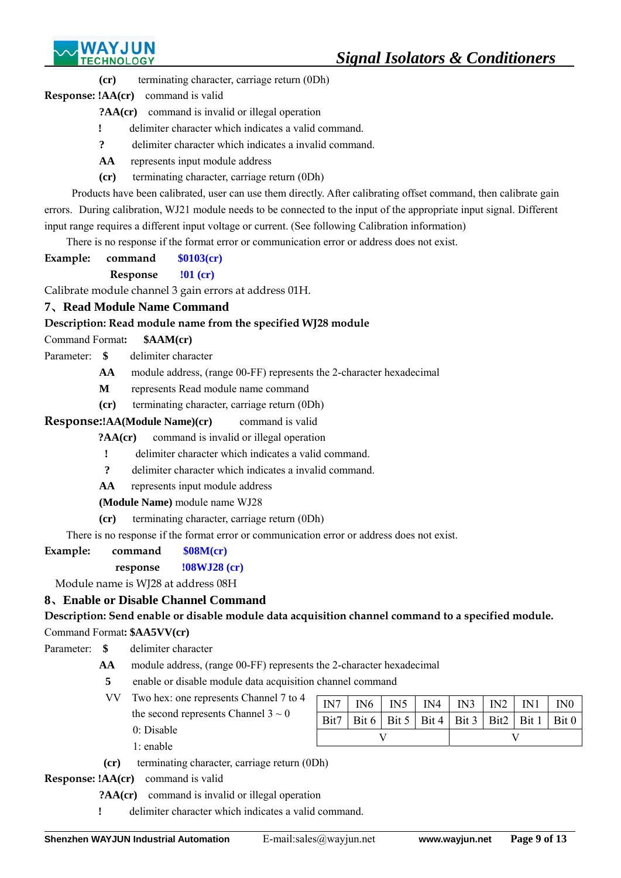

**(cr)** terminating character, carriage return (0Dh)

**Response: !AA(cr)** command is valid

**?AA(cr)** command is invalid or illegal operation

- **!** delimiter character which indicates a valid command.
- **?** delimiter character which indicates a invalid command.
- **AA** represents input module address
- **(cr)** terminating character, carriage return (0Dh)

Products have been calibrated, user can use them directly. After calibrating offset command, then calibrate gain errors. During calibration, WJ21 module needs to be connected to the input of the appropriate input signal. Different input range requires a different input voltage or current. (See following Calibration information)

There is no response if the format error or communication error or address does not exist.

**Example: command \$0103(cr)**

**Response !01 (cr)**

Calibrate module channel 3 gain errors at address 01H.

# **7**、**Read Module Name Command**

# **Description: Read module name from the specified WJ28 module**

# Command Format**: \$AAM(cr)**

- Parameter: **\$** delimiter character
	- **AA** module address, (range 00-FF) represents the 2-character hexadecimal
	- **M** represents Read module name command
	- **(cr)** terminating character, carriage return (0Dh)

# **Response:!AA(Module Name)(cr)** command is valid

**?AA(cr)** command is invalid or illegal operation

- **!** delimiter character which indicates a valid command.
- **?** delimiter character which indicates a invalid command.
- **AA** represents input module address

**(Module Name)** module name WJ28

**(cr)** terminating character, carriage return (0Dh)

There is no response if the format error or communication error or address does not exist.

**Example: command \$08M(cr)** 

# **response !08WJ28 (cr)**

Module name is WJ28 at address 08H

# **8**、**Enable or Disable Channel Command**

# **Description: Send enable or disable module data acquisition channel command to a specified module.**

# Command Format**: \$AA5VV(cr)**

Parameter: **\$** delimiter character

- **AA** module address, (range 00-FF) represents the 2-character hexadecimal
	- **5** enable or disable module data acquisition channel command
	- VV Two hex: one represents Channel 7 to 4 the second represents Channel  $3 \sim 0$ 0: Disable
		- 1: enable

|  |  | $IN7$   $IN6$   $IN5$   $IN4$   $IN3$   $IN2$   $IN1$   $IN0$ |  |  |  |  |
|--|--|---------------------------------------------------------------|--|--|--|--|
|  |  |                                                               |  |  |  |  |
|  |  | Bit7   Bit 6   Bit 5   Bit 4   Bit 3   Bit2   Bit 1   Bit 0   |  |  |  |  |
|  |  |                                                               |  |  |  |  |

**(cr)** terminating character, carriage return (0Dh)

**Response: !AA(cr)** command is valid

- **?AA(cr)** command is invalid or illegal operation
- **!** delimiter character which indicates a valid command.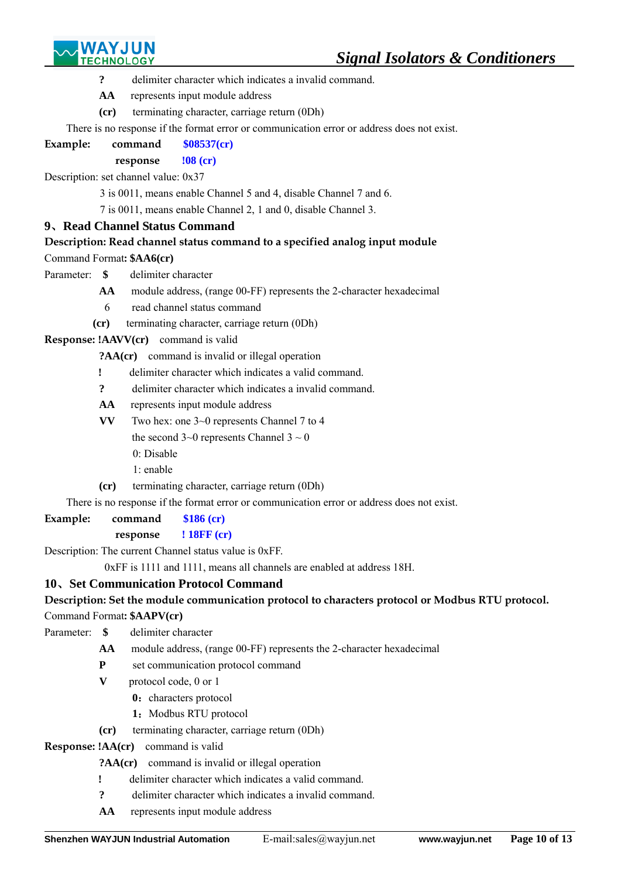

- **?** delimiter character which indicates a invalid command.
- **AA** represents input module address
- **(cr)** terminating character, carriage return (0Dh)

There is no response if the format error or communication error or address does not exist.

# **Example: command \$08537(cr)**

## **response !08 (cr)**

Description: set channel value: 0x37

3 is 0011, means enable Channel 5 and 4, disable Channel 7 and 6.

7 is 0011, means enable Channel 2, 1 and 0, disable Channel 3.

# **9**、**Read Channel Status Command**

# **Description: Read channel status command to a specified analog input module**

Command Format**: \$AA6(cr)**

- Parameter: **\$** delimiter character
	- **AA** module address, (range 00-FF) represents the 2-character hexadecimal
	- 6 read channel status command
	- **(cr)** terminating character, carriage return (0Dh)

# **Response: !AAVV(cr)** command is valid

- **?AA(cr)** command is invalid or illegal operation
- **!** delimiter character which indicates a valid command.
- **?** delimiter character which indicates a invalid command.
- **AA** represents input module address
- **VV** Two hex: one 3~0 represents Channel 7 to 4

the second  $3~0$  represents Channel  $3~0$ 

- 0: Disable
- 1: enable
- **(cr)** terminating character, carriage return (0Dh)

There is no response if the format error or communication error or address does not exist.

**Example: command \$186 (cr)** 

# **response ! 18FF (cr)**

Description: The current Channel status value is 0xFF.

0xFF is 1111 and 1111, means all channels are enabled at address 18H.

# **10**、**Set Communication Protocol Command**

# **Description: Set the module communication protocol to characters protocol or Modbus RTU protocol.**

# Command Format**: \$AAPV(cr)**

- Parameter: **\$** delimiter character
	- **AA** module address, (range 00-FF) represents the 2-character hexadecimal
	- **P** set communication protocol command
	- **V** protocol code, 0 or 1
		- **0**: characters protocol
		- 1: Modbus RTU protocol
	- **(cr)** terminating character, carriage return (0Dh)

# **Response: !AA(cr)** command is valid

 $\overline{a}$ 

**?AA(cr)** command is invalid or illegal operation

- **!** delimiter character which indicates a valid command.
- **?** delimiter character which indicates a invalid command.
- **AA** represents input module address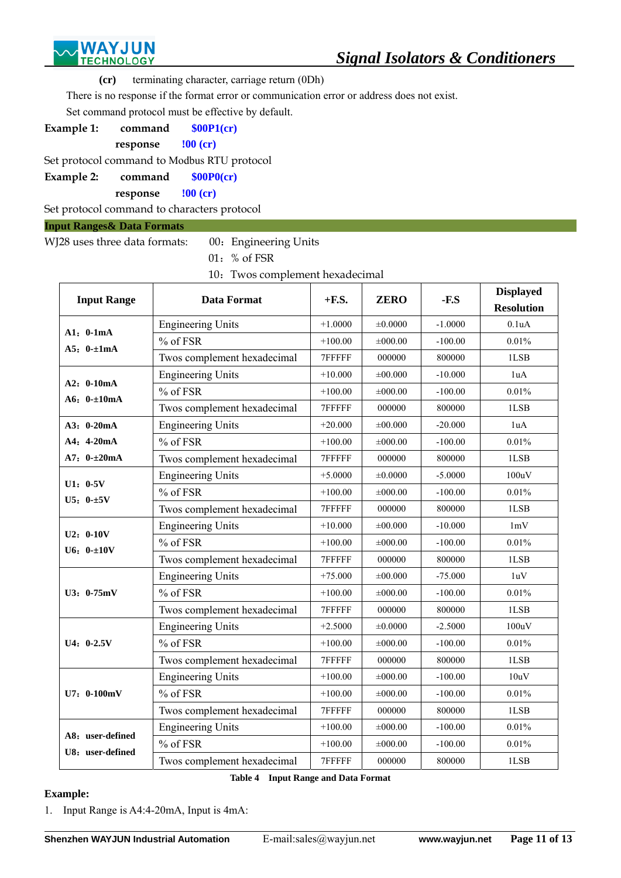

**(cr)** terminating character, carriage return (0Dh)

There is no response if the format error or communication error or address does not exist.

Set command protocol must be effective by default.

**Example 1: command \$00P1(cr)** 

**response !00 (cr)** 

Set protocol command to Modbus RTU protocol

**Example 2: command \$00P0(cr)** 

**response !00 (cr)** 

Set protocol command to characters protocol

**Input Ranges& Data Formats** 

| WJ28 uses three data formats: |  |  | 00: Engineering Units |  |
|-------------------------------|--|--|-----------------------|--|
|                               |  |  |                       |  |

01:% of FSR

10: Twos complement hexadecimal

| <b>Input Range</b>           | <b>Data Format</b>          | $+$ <b>F.S.</b> | <b>ZERO</b>  | $-F.S$    | <b>Displayed</b><br><b>Resolution</b> |
|------------------------------|-----------------------------|-----------------|--------------|-----------|---------------------------------------|
|                              | <b>Engineering Units</b>    | $+1.0000$       | ±0.0000      | $-1.0000$ | 0.1uA                                 |
| $A1: 0-1mA$                  | % of FSR                    | $+100.00$       | ±000.00      | $-100.00$ | 0.01%                                 |
| A5: $0 - \pm 1$ mA           | Twos complement hexadecimal | 7FFFFF          | 000000       | 800000    | 1LSB                                  |
|                              | <b>Engineering Units</b>    | $+10.000$       | $\pm 00.000$ | $-10,000$ | 1uA                                   |
| A2: 0-10mA                   | % of FSR                    | $+100.00$       | $\pm 000.00$ | $-100.00$ | 0.01%                                 |
| A6: $0 - \pm 10$ mA          | Twos complement hexadecimal | 7FFFFF          | 000000       | 800000    | 1LSB                                  |
| A3: 0-20mA                   | <b>Engineering Units</b>    | $+20.000$       | ±00.000      | $-20.000$ | 1uA                                   |
| $A4: 4-20mA$                 | % of FSR                    | $+100.00$       | $\pm 000.00$ | $-100.00$ | 0.01%                                 |
| $A7: 0 - \pm 20mA$           | Twos complement hexadecimal | 7FFFFF          | 000000       | 800000    | 1LSB                                  |
|                              | <b>Engineering Units</b>    | $+5.0000$       | ±0.0000      | $-5.0000$ | 100uV                                 |
| $U1: 0-5V$                   | % of FSR                    | $+100.00$       | $\pm 000.00$ | $-100.00$ | 0.01%                                 |
| $U5: 0 - \pm 5V$             | Twos complement hexadecimal | 7FFFFF          | 000000       | 800000    | 1LSB                                  |
|                              | <b>Engineering Units</b>    | $+10.000$       | $\pm 00.000$ | $-10.000$ | 1mV                                   |
| $U2: 0-10V$<br>$U6: 0 - 10V$ | % of FSR                    | $+100.00$       | $\pm 000.00$ | $-100.00$ | 0.01%                                 |
|                              | Twos complement hexadecimal | 7FFFFF          | 000000       | 800000    | 1LSB                                  |
|                              | <b>Engineering Units</b>    | $+75.000$       | ±00.000      | $-75.000$ | 1uV                                   |
| U3: 0-75mV                   | % of FSR                    | $+100.00$       | $\pm 000.00$ | $-100.00$ | 0.01%                                 |
|                              | Twos complement hexadecimal | 7FFFFF          | 000000       | 800000    | 1LSB                                  |
|                              | <b>Engineering Units</b>    | $+2.5000$       | $\pm 0.0000$ | $-2.5000$ | 100uV                                 |
| $U4: 0-2.5V$                 | % of FSR                    | $+100.00$       | ±000.00      | $-100.00$ | 0.01%                                 |
|                              | Twos complement hexadecimal | 7FFFFF          | 000000       | 800000    | 1LSB                                  |
|                              | <b>Engineering Units</b>    | $+100.00$       | $\pm 000.00$ | $-100.00$ | 10uV                                  |
| $U7: 0-100mV$                | % of FSR                    | $+100.00$       | $\pm 000.00$ | $-100.00$ | 0.01%                                 |
|                              | Twos complement hexadecimal | 7FFFFF          | 000000       | 800000    | 1LSB                                  |
| A8: user-defined             | <b>Engineering Units</b>    | $+100.00$       | ±000.00      | $-100.00$ | 0.01%                                 |
|                              | % of FSR                    | $+100.00$       | $\pm 000.00$ | $-100.00$ | 0.01%                                 |
| U8: user-defined             | Twos complement hexadecimal | 7FFFFF          | 000000       | 800000    | 1LSB                                  |

**Table 4 Input Range and Data Format**

# **Example:**

 $\overline{a}$ 

1. Input Range is A4:4-20mA, Input is 4mA: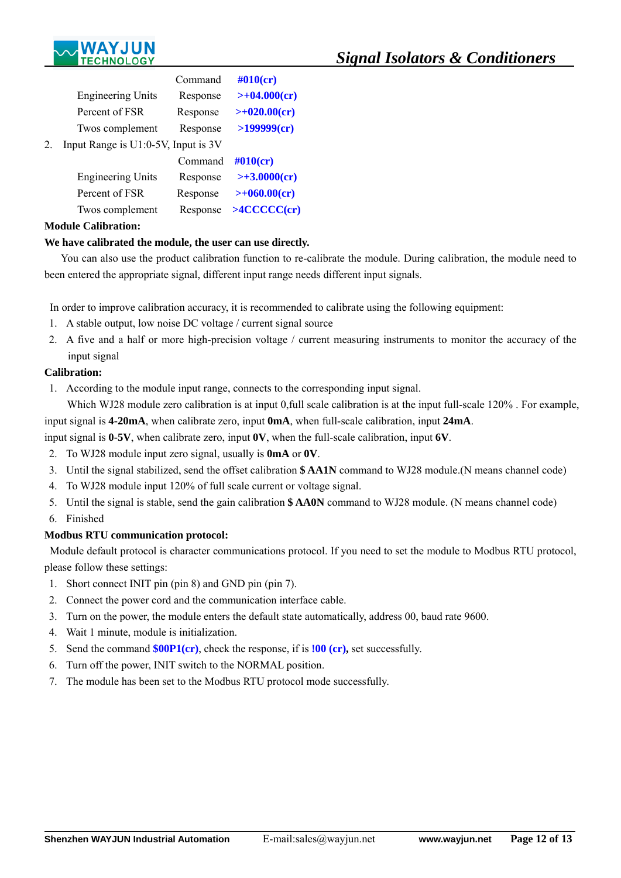

|    |                                     | Command  | $#010$ (cr)         |
|----|-------------------------------------|----------|---------------------|
|    | <b>Engineering Units</b>            | Response | $>+04.000$ (cr)     |
|    | Percent of FSR                      | Response | $>+020.00$ (cr)     |
|    | Twos complement                     | Response | >199999(cr)         |
| 2. | Input Range is U1:0-5V, Input is 3V |          |                     |
|    |                                     | Command  | $\#010$ (cr)        |
|    | <b>Engineering Units</b>            | Response | $>> 3.0000$ (cr)    |
|    | Percent of FSR                      | Response | $>+060.00$ (cr)     |
|    | Twos complement                     | Response | $>$ 4 $CCCC$ $(Cr)$ |
|    |                                     |          |                     |

# **Module Calibration:**

## **We have calibrated the module, the user can use directly.**

You can also use the product calibration function to re-calibrate the module. During calibration, the module need to been entered the appropriate signal, different input range needs different input signals.

In order to improve calibration accuracy, it is recommended to calibrate using the following equipment:

- 1. A stable output, low noise DC voltage / current signal source
- 2. A five and a half or more high-precision voltage / current measuring instruments to monitor the accuracy of the input signal

## **Calibration:**

1. According to the module input range, connects to the corresponding input signal.

Which WJ28 module zero calibration is at input 0,full scale calibration is at the input full-scale 120%. For example, input signal is **4-20mA**, when calibrate zero, input **0mA**, when full-scale calibration, input **24mA**.

input signal is **0-5V**, when calibrate zero, input **0V**, when the full-scale calibration, input **6V**.

- 2. To WJ28 module input zero signal, usually is **0mA** or **0V**.
- 3. Until the signal stabilized, send the offset calibration **\$ AA1N** command to WJ28 module.(N means channel code)
- 4. To WJ28 module input 120% of full scale current or voltage signal.
- 5. Until the signal is stable, send the gain calibration **\$ AA0N** command to WJ28 module. (N means channel code)
- 6. Finished

 $\overline{a}$ 

# **Modbus RTU communication protocol:**

 Module default protocol is character communications protocol. If you need to set the module to Modbus RTU protocol, please follow these settings:

- 1. Short connect INIT pin (pin 8) and GND pin (pin 7).
- 2. Connect the power cord and the communication interface cable.
- 3. Turn on the power, the module enters the default state automatically, address 00, baud rate 9600.
- 4. Wait 1 minute, module is initialization.
- 5. Send the command **\$00P1(cr)**, check the response, if is **!00 (cr),** set successfully.
- 6. Turn off the power, INIT switch to the NORMAL position.
- 7. The module has been set to the Modbus RTU protocol mode successfully.